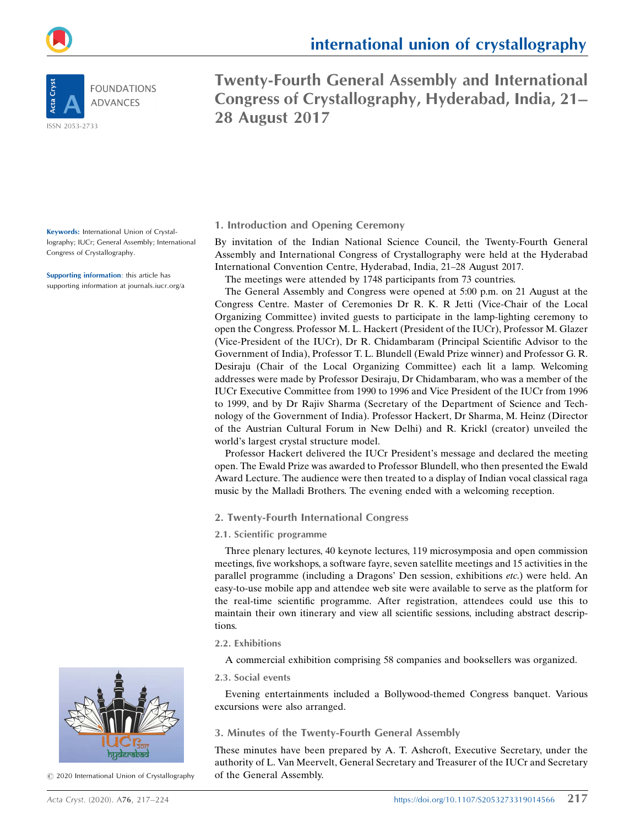

**FOUNDATIONS ADVANCES** 

ISSN 2053-2733

Congress of Crystallography, Hyderabad, India, 21– 28 August 2017

Twenty-Fourth General Assembly and International

Keywords: International Union of Crystallography; IUCr; General Assembly; International Congress of Crystallography.

Supporting information: this article has supporting information at journals.iucr.org/a



By invitation of the Indian National Science Council, the Twenty-Fourth General Assembly and International Congress of Crystallography were held at the Hyderabad International Convention Centre, Hyderabad, India, 21–28 August 2017.

The meetings were attended by 1748 participants from 73 countries.

The General Assembly and Congress were opened at 5:00 p.m. on 21 August at the Congress Centre. Master of Ceremonies Dr R. K. R Jetti (Vice-Chair of the Local Organizing Committee) invited guests to participate in the lamp-lighting ceremony to open the Congress. Professor M. L. Hackert (President of the IUCr), Professor M. Glazer (Vice-President of the IUCr), Dr R. Chidambaram (Principal Scientific Advisor to the Government of India), Professor T. L. Blundell (Ewald Prize winner) and Professor G. R. Desiraju (Chair of the Local Organizing Committee) each lit a lamp. Welcoming addresses were made by Professor Desiraju, Dr Chidambaram, who was a member of the IUCr Executive Committee from 1990 to 1996 and Vice President of the IUCr from 1996 to 1999, and by Dr Rajiv Sharma (Secretary of the Department of Science and Technology of the Government of India). Professor Hackert, Dr Sharma, M. Heinz (Director of the Austrian Cultural Forum in New Delhi) and R. Krickl (creator) unveiled the world's largest crystal structure model.

Professor Hackert delivered the IUCr President's message and declared the meeting open. The Ewald Prize was awarded to Professor Blundell, who then presented the Ewald Award Lecture. The audience were then treated to a display of Indian vocal classical raga music by the Malladi Brothers. The evening ended with a welcoming reception.

## 2. Twenty-Fourth International Congress

#### 2.1. Scientific programme

Three plenary lectures, 40 keynote lectures, 119 microsymposia and open commission meetings, five workshops, a software fayre, seven satellite meetings and 15 activities in the parallel programme (including a Dragons' Den session, exhibitions etc.) were held. An easy-to-use mobile app and attendee web site were available to serve as the platform for the real-time scientific programme. After registration, attendees could use this to maintain their own itinerary and view all scientific sessions, including abstract descriptions.

#### 2.2. Exhibitions

A commercial exhibition comprising 58 companies and booksellers was organized.

#### 2.3. Social events

Evening entertainments included a Bollywood-themed Congress banquet. Various excursions were also arranged.

#### 3. Minutes of the Twenty-Fourth General Assembly

These minutes have been prepared by A. T. Ashcroft, Executive Secretary, under the authority of L. Van Meervelt, General Secretary and Treasurer of the IUCr and Secretary of the General Assembly.



 $\odot$  2020 International Union of Crystallography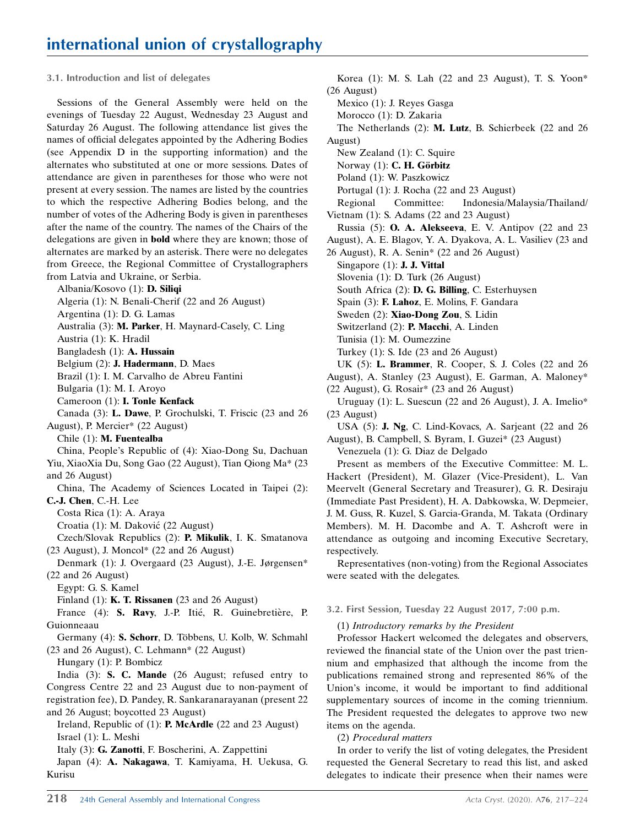#### 3.1. Introduction and list of delegates

Sessions of the General Assembly were held on the evenings of Tuesday 22 August, Wednesday 23 August and Saturday 26 August. The following attendance list gives the names of official delegates appointed by the Adhering Bodies (see Appendix D in the supporting information) and the alternates who substituted at one or more sessions. Dates of attendance are given in parentheses for those who were not present at every session. The names are listed by the countries to which the respective Adhering Bodies belong, and the number of votes of the Adhering Body is given in parentheses after the name of the country. The names of the Chairs of the delegations are given in bold where they are known; those of alternates are marked by an asterisk. There were no delegates from Greece, the Regional Committee of Crystallographers from Latvia and Ukraine, or Serbia.

Albania/Kosovo (1): D. Siliqi

Algeria (1): N. Benali-Cherif (22 and 26 August)

Argentina (1): D. G. Lamas

Australia (3): M. Parker, H. Maynard-Casely, C. Ling

Austria (1): K. Hradil

Bangladesh (1): A. Hussain

Belgium (2): J. Hadermann, D. Maes

Brazil (1): I. M. Carvalho de Abreu Fantini

Bulgaria (1): M. I. Aroyo

Cameroon (1): I. Tonle Kenfack

Canada (3): L. Dawe, P. Grochulski, T. Friscic (23 and 26 August), P. Mercier\* (22 August)

Chile (1): M. Fuentealba

China, People's Republic of (4): Xiao-Dong Su, Dachuan Yiu, XiaoXia Du, Song Gao (22 August), Tian Qiong Ma\* (23 and 26 August)

China, The Academy of Sciences Located in Taipei (2): C.-J. Chen, C.-H. Lee

Costa Rica (1): A. Araya

Croatia (1): M. Daković (22 August)

Czech/Slovak Republics (2): P. Mikulik, I. K. Smatanova (23 August), J. Moncol\* (22 and 26 August)

Denmark (1): J. Overgaard (23 August), J.-E. Jørgensen\* (22 and 26 August)

Egypt: G. S. Kamel

Finland (1): K. T. Rissanen (23 and 26 August)

France (4): S. Ravy, J.-P. Itié, R. Guinebretière, P. Guionneaau

Germany (4): S. Schorr, D. Többens, U. Kolb, W. Schmahl (23 and 26 August), C. Lehmann\* (22 August)

Hungary (1): P. Bombicz

India (3): S. C. Mande (26 August; refused entry to Congress Centre 22 and 23 August due to non-payment of registration fee), D. Pandey, R. Sankaranarayanan (present 22 and 26 August; boycotted 23 August)

Ireland, Republic of (1): P. McArdle (22 and 23 August) Israel (1): L. Meshi

Italy (3): G. Zanotti, F. Boscherini, A. Zappettini

Japan (4): A. Nakagawa, T. Kamiyama, H. Uekusa, G. Kurisu

Korea (1): M. S. Lah (22 and 23 August), T. S. Yoon\* (26 August) Mexico (1): J. Reyes Gasga Morocco (1): D. Zakaria The Netherlands (2): M. Lutz, B. Schierbeek (22 and 26 August) New Zealand (1): C. Squire Norway (1): C. H. Görbitz Poland (1): W. Paszkowicz Portugal (1): J. Rocha (22 and 23 August) Regional Committee: Indonesia/Malaysia/Thailand/ Vietnam (1): S. Adams (22 and 23 August) Russia (5): O. A. Alekseeva, E. V. Antipov (22 and 23 August), A. E. Blagov, Y. A. Dyakova, A. L. Vasiliev (23 and 26 August), R. A. Senin\* (22 and 26 August) Singapore (1): J. J. Vittal Slovenia (1): D. Turk (26 August) South Africa (2): D. G. Billing, C. Esterhuysen Spain (3): F. Lahoz, E. Molins, F. Gandara Sweden (2): Xiao-Dong Zou, S. Lidin Switzerland (2): P. Macchi, A. Linden Tunisia (1): M. Oumezzine Turkey (1): S. Ide (23 and 26 August) UK (5): L. Brammer, R. Cooper, S. J. Coles (22 and 26 August), A. Stanley (23 August), E. Garman, A. Maloney\* (22 August), G. Rosair\* (23 and 26 August) Uruguay (1): L. Suescun (22 and 26 August), J. A. Imelio\* (23 August) USA (5): J. Ng, C. Lind-Kovacs, A. Sarjeant (22 and 26 August), B. Campbell, S. Byram, I. Guzei\* (23 August) Venezuela (1): G. Diaz de Delgado Present as members of the Executive Committee: M. L. Hackert (President), M. Glazer (Vice-President), L. Van Meervelt (General Secretary and Treasurer), G. R. Desiraju (Immediate Past President), H. A. Dabkowska, W. Depmeier, J. M. Guss, R. Kuzel, S. Garcia-Granda, M. Takata (Ordinary

Members). M. H. Dacombe and A. T. Ashcroft were in attendance as outgoing and incoming Executive Secretary, respectively.

Representatives (non-voting) from the Regional Associates were seated with the delegates.

3.2. First Session, Tuesday 22 August 2017, 7:00 p.m.

(1) Introductory remarks by the President

Professor Hackert welcomed the delegates and observers, reviewed the financial state of the Union over the past triennium and emphasized that although the income from the publications remained strong and represented 86% of the Union's income, it would be important to find additional supplementary sources of income in the coming triennium. The President requested the delegates to approve two new items on the agenda.

(2) Procedural matters

In order to verify the list of voting delegates, the President requested the General Secretary to read this list, and asked delegates to indicate their presence when their names were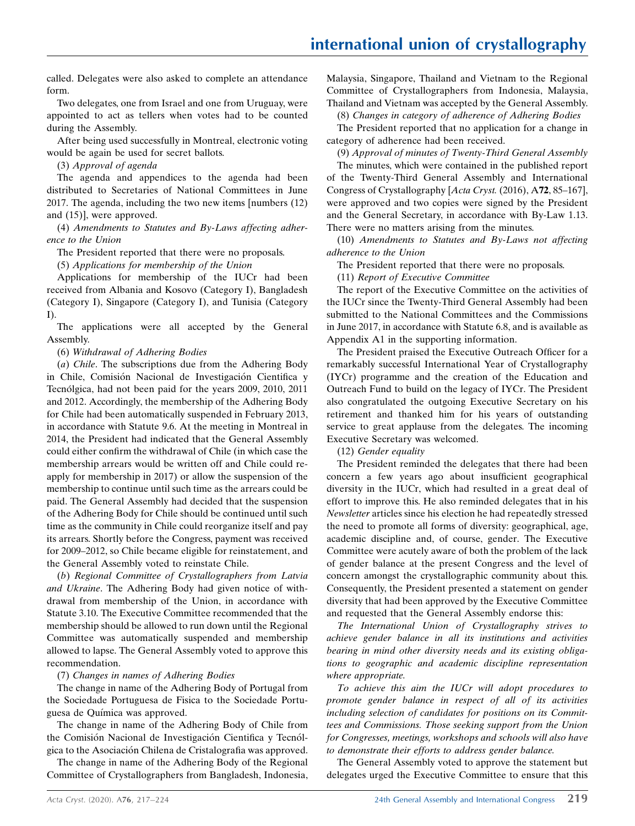called. Delegates were also asked to complete an attendance form.

Two delegates, one from Israel and one from Uruguay, were appointed to act as tellers when votes had to be counted during the Assembly.

After being used successfully in Montreal, electronic voting would be again be used for secret ballots.

(3) Approval of agenda

The agenda and appendices to the agenda had been distributed to Secretaries of National Committees in June 2017. The agenda, including the two new items [numbers (12) and (15)], were approved.

(4) Amendments to Statutes and By-Laws affecting adherence to the Union

The President reported that there were no proposals.

(5) Applications for membership of the Union

Applications for membership of the IUCr had been received from Albania and Kosovo (Category I), Bangladesh (Category I), Singapore (Category I), and Tunisia (Category I).

The applications were all accepted by the General Assembly.

(6) Withdrawal of Adhering Bodies

(a) Chile. The subscriptions due from the Adhering Body in Chile, Comisión Nacional de Investigación Cientifica y Tecnólgica, had not been paid for the years 2009, 2010, 2011 and 2012. Accordingly, the membership of the Adhering Body for Chile had been automatically suspended in February 2013, in accordance with Statute 9.6. At the meeting in Montreal in 2014, the President had indicated that the General Assembly could either confirm the withdrawal of Chile (in which case the membership arrears would be written off and Chile could reapply for membership in 2017) or allow the suspension of the membership to continue until such time as the arrears could be paid. The General Assembly had decided that the suspension of the Adhering Body for Chile should be continued until such time as the community in Chile could reorganize itself and pay its arrears. Shortly before the Congress, payment was received for 2009–2012, so Chile became eligible for reinstatement, and the General Assembly voted to reinstate Chile.

(b) Regional Committee of Crystallographers from Latvia and Ukraine. The Adhering Body had given notice of withdrawal from membership of the Union, in accordance with Statute 3.10. The Executive Committee recommended that the membership should be allowed to run down until the Regional Committee was automatically suspended and membership allowed to lapse. The General Assembly voted to approve this recommendation.

(7) Changes in names of Adhering Bodies

The change in name of the Adhering Body of Portugal from the Sociedade Portuguesa de Fisica to the Sociedade Portuguesa de Química was approved.

The change in name of the Adhering Body of Chile from the Comisión Nacional de Investigación Cientifica y Tecnólgica to the Asociación Chilena de Cristalografia was approved.

The change in name of the Adhering Body of the Regional Committee of Crystallographers from Bangladesh, Indonesia, Malaysia, Singapore, Thailand and Vietnam to the Regional Committee of Crystallographers from Indonesia, Malaysia, Thailand and Vietnam was accepted by the General Assembly.

(8) Changes in category of adherence of Adhering Bodies

The President reported that no application for a change in category of adherence had been received.

(9) Approval of minutes of Twenty-Third General Assembly

The minutes, which were contained in the published report of the Twenty-Third General Assembly and International Congress of Crystallography [Acta Cryst. (2016), A72, 85–167], were approved and two copies were signed by the President and the General Secretary, in accordance with By-Law 1.13. There were no matters arising from the minutes.

(10) Amendments to Statutes and By-Laws not affecting adherence to the Union

The President reported that there were no proposals.

(11) Report of Executive Committee

The report of the Executive Committee on the activities of the IUCr since the Twenty-Third General Assembly had been submitted to the National Committees and the Commissions in June 2017, in accordance with Statute 6.8, and is available as Appendix A1 in the supporting information.

The President praised the Executive Outreach Officer for a remarkably successful International Year of Crystallography (IYCr) programme and the creation of the Education and Outreach Fund to build on the legacy of IYCr. The President also congratulated the outgoing Executive Secretary on his retirement and thanked him for his years of outstanding service to great applause from the delegates. The incoming Executive Secretary was welcomed.

(12) Gender equality

The President reminded the delegates that there had been concern a few years ago about insufficient geographical diversity in the IUCr, which had resulted in a great deal of effort to improve this. He also reminded delegates that in his Newsletter articles since his election he had repeatedly stressed the need to promote all forms of diversity: geographical, age, academic discipline and, of course, gender. The Executive Committee were acutely aware of both the problem of the lack of gender balance at the present Congress and the level of concern amongst the crystallographic community about this. Consequently, the President presented a statement on gender diversity that had been approved by the Executive Committee and requested that the General Assembly endorse this:

The International Union of Crystallography strives to achieve gender balance in all its institutions and activities bearing in mind other diversity needs and its existing obligations to geographic and academic discipline representation where appropriate.

To achieve this aim the IUCr will adopt procedures to promote gender balance in respect of all of its activities including selection of candidates for positions on its Committees and Commissions. Those seeking support from the Union for Congresses, meetings, workshops and schools will also have to demonstrate their efforts to address gender balance.

The General Assembly voted to approve the statement but delegates urged the Executive Committee to ensure that this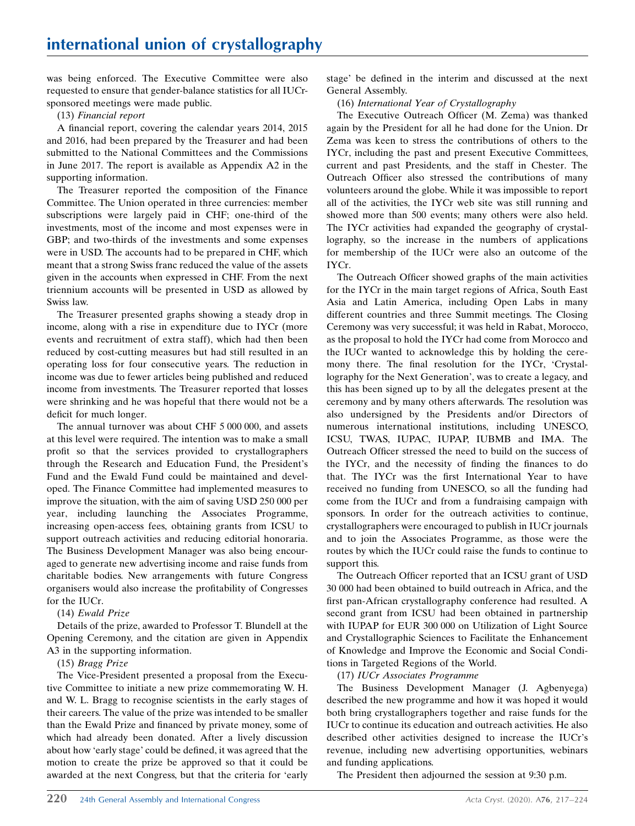was being enforced. The Executive Committee were also requested to ensure that gender-balance statistics for all IUCrsponsored meetings were made public.

#### (13) Financial report

A financial report, covering the calendar years 2014, 2015 and 2016, had been prepared by the Treasurer and had been submitted to the National Committees and the Commissions in June 2017. The report is available as Appendix A2 in the supporting information.

The Treasurer reported the composition of the Finance Committee. The Union operated in three currencies: member subscriptions were largely paid in CHF; one-third of the investments, most of the income and most expenses were in GBP; and two-thirds of the investments and some expenses were in USD. The accounts had to be prepared in CHF, which meant that a strong Swiss franc reduced the value of the assets given in the accounts when expressed in CHF. From the next triennium accounts will be presented in USD as allowed by Swiss law.

The Treasurer presented graphs showing a steady drop in income, along with a rise in expenditure due to IYCr (more events and recruitment of extra staff), which had then been reduced by cost-cutting measures but had still resulted in an operating loss for four consecutive years. The reduction in income was due to fewer articles being published and reduced income from investments. The Treasurer reported that losses were shrinking and he was hopeful that there would not be a deficit for much longer.

The annual turnover was about CHF 5 000 000, and assets at this level were required. The intention was to make a small profit so that the services provided to crystallographers through the Research and Education Fund, the President's Fund and the Ewald Fund could be maintained and developed. The Finance Committee had implemented measures to improve the situation, with the aim of saving USD 250 000 per year, including launching the Associates Programme, increasing open-access fees, obtaining grants from ICSU to support outreach activities and reducing editorial honoraria. The Business Development Manager was also being encouraged to generate new advertising income and raise funds from charitable bodies. New arrangements with future Congress organisers would also increase the profitability of Congresses for the IUCr.

## (14) Ewald Prize

Details of the prize, awarded to Professor T. Blundell at the Opening Ceremony, and the citation are given in Appendix A3 in the supporting information.

## (15) Bragg Prize

The Vice-President presented a proposal from the Executive Committee to initiate a new prize commemorating W. H. and W. L. Bragg to recognise scientists in the early stages of their careers. The value of the prize was intended to be smaller than the Ewald Prize and financed by private money, some of which had already been donated. After a lively discussion about how 'early stage' could be defined, it was agreed that the motion to create the prize be approved so that it could be awarded at the next Congress, but that the criteria for 'early stage' be defined in the interim and discussed at the next General Assembly.

(16) International Year of Crystallography

The Executive Outreach Officer (M. Zema) was thanked again by the President for all he had done for the Union. Dr Zema was keen to stress the contributions of others to the IYCr, including the past and present Executive Committees, current and past Presidents, and the staff in Chester. The Outreach Officer also stressed the contributions of many volunteers around the globe. While it was impossible to report all of the activities, the IYCr web site was still running and showed more than 500 events; many others were also held. The IYCr activities had expanded the geography of crystallography, so the increase in the numbers of applications for membership of the IUCr were also an outcome of the IYCr.

The Outreach Officer showed graphs of the main activities for the IYCr in the main target regions of Africa, South East Asia and Latin America, including Open Labs in many different countries and three Summit meetings. The Closing Ceremony was very successful; it was held in Rabat, Morocco, as the proposal to hold the IYCr had come from Morocco and the IUCr wanted to acknowledge this by holding the ceremony there. The final resolution for the IYCr, 'Crystallography for the Next Generation', was to create a legacy, and this has been signed up to by all the delegates present at the ceremony and by many others afterwards. The resolution was also undersigned by the Presidents and/or Directors of numerous international institutions, including UNESCO, ICSU, TWAS, IUPAC, IUPAP, IUBMB and IMA. The Outreach Officer stressed the need to build on the success of the IYCr, and the necessity of finding the finances to do that. The IYCr was the first International Year to have received no funding from UNESCO, so all the funding had come from the IUCr and from a fundraising campaign with sponsors. In order for the outreach activities to continue, crystallographers were encouraged to publish in IUCr journals and to join the Associates Programme, as those were the routes by which the IUCr could raise the funds to continue to support this.

The Outreach Officer reported that an ICSU grant of USD 30 000 had been obtained to build outreach in Africa, and the first pan-African crystallography conference had resulted. A second grant from ICSU had been obtained in partnership with IUPAP for EUR 300 000 on Utilization of Light Source and Crystallographic Sciences to Facilitate the Enhancement of Knowledge and Improve the Economic and Social Conditions in Targeted Regions of the World.

## (17) IUCr Associates Programme

The Business Development Manager (J. Agbenyega) described the new programme and how it was hoped it would both bring crystallographers together and raise funds for the IUCr to continue its education and outreach activities. He also described other activities designed to increase the IUCr's revenue, including new advertising opportunities, webinars and funding applications.

The President then adjourned the session at 9:30 p.m.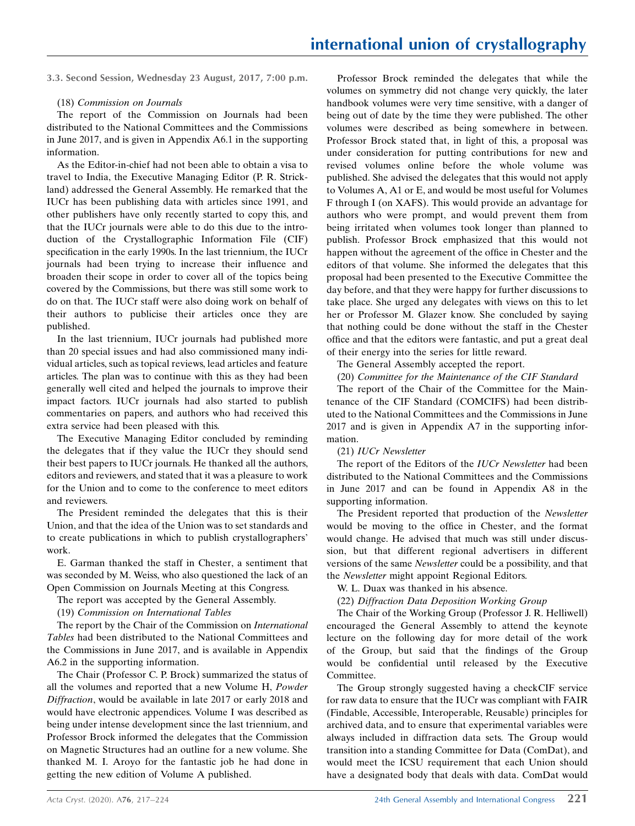3.3. Second Session, Wednesday 23 August, 2017, 7:00 p.m.

#### (18) Commission on Journals

The report of the Commission on Journals had been distributed to the National Committees and the Commissions in June 2017, and is given in Appendix A6.1 in the supporting information.

As the Editor-in-chief had not been able to obtain a visa to travel to India, the Executive Managing Editor (P. R. Strickland) addressed the General Assembly. He remarked that the IUCr has been publishing data with articles since 1991, and other publishers have only recently started to copy this, and that the IUCr journals were able to do this due to the introduction of the Crystallographic Information File (CIF) specification in the early 1990s. In the last triennium, the IUCr journals had been trying to increase their influence and broaden their scope in order to cover all of the topics being covered by the Commissions, but there was still some work to do on that. The IUCr staff were also doing work on behalf of their authors to publicise their articles once they are published.

In the last triennium, IUCr journals had published more than 20 special issues and had also commissioned many individual articles, such as topical reviews, lead articles and feature articles. The plan was to continue with this as they had been generally well cited and helped the journals to improve their impact factors. IUCr journals had also started to publish commentaries on papers, and authors who had received this extra service had been pleased with this.

The Executive Managing Editor concluded by reminding the delegates that if they value the IUCr they should send their best papers to IUCr journals. He thanked all the authors, editors and reviewers, and stated that it was a pleasure to work for the Union and to come to the conference to meet editors and reviewers.

The President reminded the delegates that this is their Union, and that the idea of the Union was to set standards and to create publications in which to publish crystallographers' work.

E. Garman thanked the staff in Chester, a sentiment that was seconded by M. Weiss, who also questioned the lack of an Open Commission on Journals Meeting at this Congress.

The report was accepted by the General Assembly.

(19) Commission on International Tables

The report by the Chair of the Commission on International Tables had been distributed to the National Committees and the Commissions in June 2017, and is available in Appendix A6.2 in the supporting information.

The Chair (Professor C. P. Brock) summarized the status of all the volumes and reported that a new Volume H, Powder Diffraction, would be available in late 2017 or early 2018 and would have electronic appendices. Volume I was described as being under intense development since the last triennium, and Professor Brock informed the delegates that the Commission on Magnetic Structures had an outline for a new volume. She thanked M. I. Aroyo for the fantastic job he had done in getting the new edition of Volume A published.

Professor Brock reminded the delegates that while the volumes on symmetry did not change very quickly, the later handbook volumes were very time sensitive, with a danger of being out of date by the time they were published. The other volumes were described as being somewhere in between. Professor Brock stated that, in light of this, a proposal was under consideration for putting contributions for new and revised volumes online before the whole volume was published. She advised the delegates that this would not apply to Volumes A, A1 or E, and would be most useful for Volumes F through I (on XAFS). This would provide an advantage for authors who were prompt, and would prevent them from being irritated when volumes took longer than planned to publish. Professor Brock emphasized that this would not happen without the agreement of the office in Chester and the editors of that volume. She informed the delegates that this proposal had been presented to the Executive Committee the day before, and that they were happy for further discussions to take place. She urged any delegates with views on this to let her or Professor M. Glazer know. She concluded by saying that nothing could be done without the staff in the Chester office and that the editors were fantastic, and put a great deal of their energy into the series for little reward.

The General Assembly accepted the report.

(20) Committee for the Maintenance of the CIF Standard

The report of the Chair of the Committee for the Maintenance of the CIF Standard (COMCIFS) had been distributed to the National Committees and the Commissions in June 2017 and is given in Appendix A7 in the supporting information.

(21) IUCr Newsletter

The report of the Editors of the *IUCr Newsletter* had been distributed to the National Committees and the Commissions in June 2017 and can be found in Appendix A8 in the supporting information.

The President reported that production of the Newsletter would be moving to the office in Chester, and the format would change. He advised that much was still under discussion, but that different regional advertisers in different versions of the same Newsletter could be a possibility, and that the Newsletter might appoint Regional Editors.

W. L. Duax was thanked in his absence.

(22) Diffraction Data Deposition Working Group

The Chair of the Working Group (Professor J. R. Helliwell) encouraged the General Assembly to attend the keynote lecture on the following day for more detail of the work of the Group, but said that the findings of the Group would be confidential until released by the Executive Committee.

The Group strongly suggested having a checkCIF service for raw data to ensure that the IUCr was compliant with FAIR (Findable, Accessible, Interoperable, Reusable) principles for archived data, and to ensure that experimental variables were always included in diffraction data sets. The Group would transition into a standing Committee for Data (ComDat), and would meet the ICSU requirement that each Union should have a designated body that deals with data. ComDat would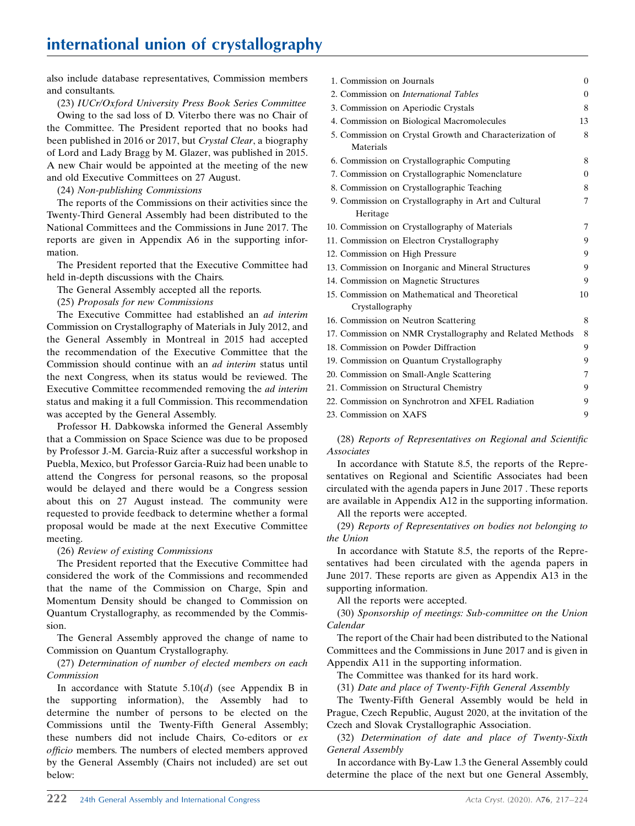also include database representatives, Commission members and consultants.

(23) IUCr/Oxford University Press Book Series Committee

Owing to the sad loss of D. Viterbo there was no Chair of the Committee. The President reported that no books had been published in 2016 or 2017, but Crystal Clear, a biography of Lord and Lady Bragg by M. Glazer, was published in 2015. A new Chair would be appointed at the meeting of the new and old Executive Committees on 27 August.

#### (24) Non-publishing Commissions

The reports of the Commissions on their activities since the Twenty-Third General Assembly had been distributed to the National Committees and the Commissions in June 2017. The reports are given in Appendix A6 in the supporting information.

The President reported that the Executive Committee had held in-depth discussions with the Chairs.

The General Assembly accepted all the reports.

(25) Proposals for new Commissions

The Executive Committee had established an ad interim Commission on Crystallography of Materials in July 2012, and the General Assembly in Montreal in 2015 had accepted the recommendation of the Executive Committee that the Commission should continue with an ad interim status until the next Congress, when its status would be reviewed. The Executive Committee recommended removing the ad interim status and making it a full Commission. This recommendation was accepted by the General Assembly.

Professor H. Dabkowska informed the General Assembly that a Commission on Space Science was due to be proposed by Professor J.-M. Garcia-Ruiz after a successful workshop in Puebla, Mexico, but Professor Garcia-Ruiz had been unable to attend the Congress for personal reasons, so the proposal would be delayed and there would be a Congress session about this on 27 August instead. The community were requested to provide feedback to determine whether a formal proposal would be made at the next Executive Committee meeting.

## (26) Review of existing Commissions

The President reported that the Executive Committee had considered the work of the Commissions and recommended that the name of the Commission on Charge, Spin and Momentum Density should be changed to Commission on Quantum Crystallography, as recommended by the Commission.

The General Assembly approved the change of name to Commission on Quantum Crystallography.

(27) Determination of number of elected members on each Commission

In accordance with Statute  $5.10(d)$  (see Appendix B in the supporting information), the Assembly had to determine the number of persons to be elected on the Commissions until the Twenty-Fifth General Assembly; these numbers did not include Chairs, Co-editors or ex officio members. The numbers of elected members approved by the General Assembly (Chairs not included) are set out below:

| 1. Commission on Journals |                                                           | $\theta$       |
|---------------------------|-----------------------------------------------------------|----------------|
|                           | 2. Commission on <i>International Tables</i>              | $\overline{0}$ |
|                           | 3. Commission on Aperiodic Crystals                       | 8              |
|                           | 4. Commission on Biological Macromolecules                | 13             |
|                           | 5. Commission on Crystal Growth and Characterization of   | 8              |
| Materials                 |                                                           |                |
|                           | 6. Commission on Crystallographic Computing               | 8              |
|                           | 7. Commission on Crystallographic Nomenclature            | $\theta$       |
|                           | 8. Commission on Crystallographic Teaching                | 8              |
|                           | 9. Commission on Crystallography in Art and Cultural      | $\overline{7}$ |
| Heritage                  |                                                           |                |
|                           | 10. Commission on Crystallography of Materials            | 7              |
|                           | 11. Commission on Electron Crystallography                | 9              |
|                           | 12. Commission on High Pressure                           | 9              |
|                           | 13. Commission on Inorganic and Mineral Structures        | 9              |
|                           | 14. Commission on Magnetic Structures                     | 9              |
|                           | 15. Commission on Mathematical and Theoretical            | 10             |
| Crystallography           |                                                           |                |
|                           | 16. Commission on Neutron Scattering                      | 8              |
|                           | 17. Commission on NMR Crystallography and Related Methods | 8              |
|                           | 18. Commission on Powder Diffraction                      | 9              |
|                           | 19. Commission on Quantum Crystallography                 | 9              |
|                           | 20. Commission on Small-Angle Scattering                  | 7              |
|                           | 21. Commission on Structural Chemistry                    | 9              |
|                           | 22. Commission on Synchrotron and XFEL Radiation          | 9              |
| 23. Commission on XAFS    |                                                           | 9              |

(28) Reports of Representatives on Regional and Scientific Associates

In accordance with Statute 8.5, the reports of the Representatives on Regional and Scientific Associates had been circulated with the agenda papers in June 2017 . These reports are available in Appendix A12 in the supporting information.

All the reports were accepted.

(29) Reports of Representatives on bodies not belonging to the Union

In accordance with Statute 8.5, the reports of the Representatives had been circulated with the agenda papers in June 2017. These reports are given as Appendix A13 in the supporting information.

All the reports were accepted.

(30) Sponsorship of meetings: Sub-committee on the Union Calendar

The report of the Chair had been distributed to the National Committees and the Commissions in June 2017 and is given in Appendix A11 in the supporting information.

The Committee was thanked for its hard work.

(31) Date and place of Twenty-Fifth General Assembly

The Twenty-Fifth General Assembly would be held in Prague, Czech Republic, August 2020, at the invitation of the Czech and Slovak Crystallographic Association.

(32) Determination of date and place of Twenty-Sixth General Assembly

In accordance with By-Law 1.3 the General Assembly could determine the place of the next but one General Assembly,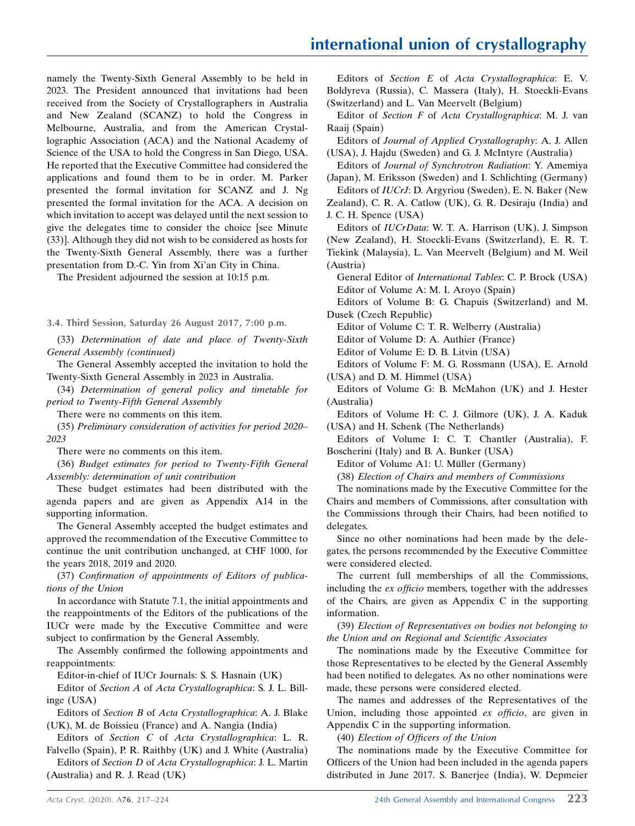namely the Twenty-Sixth General Assembly to be held in 2023. The President announced that invitations had been received from the Society of Crystallographers in Australia and New Zealand (SCANZ) to hold the Congress in Melbourne, Australia, and from the American Crystallographic Association (ACA) and the National Academy of Science of the USA to hold the Congress in San Diego, USA. He reported that the Executive Committee had considered the applications and found them to be in order. M. Parker presented the formal invitation for SCANZ and J. Ng presented the formal invitation for the ACA. A decision on which invitation to accept was delayed until the next session to give the delegates time to consider the choice [see Minute (33)]. Although they did not wish to be considered as hosts for the Twenty-Sixth General Assembly, there was a further presentation from D.-C. Yin from Xi'an City in China.

The President adjourned the session at 10:15 p.m.

3.4. Third Session, Saturday 26 August 2017, 7:00 p.m.

(33) Determination of date and place of Twenty-Sixth General Assembly (continued)

The General Assembly accepted the invitation to hold the Twenty-Sixth General Assembly in 2023 in Australia.

(34) Determination of general policy and timetable for period to Twenty-Fifth General Assembly

There were no comments on this item.

(35) Preliminary consideration of activities for period 2020– 2023

There were no comments on this item.

(36) Budget estimates for period to Twenty-Fifth General Assembly: determination of unit contribution

These budget estimates had been distributed with the agenda papers and are given as Appendix A14 in the supporting information.

The General Assembly accepted the budget estimates and approved the recommendation of the Executive Committee to continue the unit contribution unchanged, at CHF 1000, for the years 2018, 2019 and 2020.

(37) Confirmation of appointments of Editors of publications of the Union

In accordance with Statute 7.1, the initial appointments and the reappointments of the Editors of the publications of the IUCr were made by the Executive Committee and were subject to confirmation by the General Assembly.

The Assembly confirmed the following appointments and reappointments:

Editor-in-chief of IUCr Journals: S. S. Hasnain (UK)

Editor of Section A of Acta Crystallographica: S. J. L. Billinge (USA)

Editors of Section B of Acta Crystallographica: A. J. Blake (UK), M. de Boissieu (France) and A. Nangia (India)

Editors of Section C of Acta Crystallographica: L. R. Falvello (Spain), P. R. Raithby (UK) and J. White (Australia)

Editors of Section D of Acta Crystallographica: J. L. Martin (Australia) and R. J. Read (UK)

Editors of Section E of Acta Crystallographica: E. V. Boldyreva (Russia), C. Massera (Italy), H. Stoeckli-Evans (Switzerland) and L. Van Meervelt (Belgium)

Editor of Section F of Acta Crystallographica: M. J. van Raaij (Spain)

Editors of Journal of Applied Crystallography: A. J. Allen (USA), J. Hajdu (Sweden) and G. J. McIntyre (Australia)

Editors of Journal of Synchrotron Radiation: Y. Amemiya (Japan), M. Eriksson (Sweden) and I. Schlichting (Germany)

Editors of IUCrJ: D. Argyriou (Sweden), E. N. Baker (New Zealand), C. R. A. Catlow (UK), G. R. Desiraju (India) and J. C. H. Spence (USA)

Editors of IUCrData: W. T. A. Harrison (UK), J. Simpson (New Zealand), H. Stoeckli-Evans (Switzerland), E. R. T. Tiekink (Malaysia), L. Van Meervelt (Belgium) and M. Weil (Austria)

General Editor of International Tables: C. P. Brock (USA) Editor of Volume A: M. I. Aroyo (Spain)

Editors of Volume B: G. Chapuis (Switzerland) and M. Dusek (Czech Republic)

Editor of Volume C: T. R. Welberry (Australia)

Editor of Volume D: A. Authier (France)

Editor of Volume E: D. B. Litvin (USA)

Editors of Volume F: M. G. Rossmann (USA), E. Arnold (USA) and D. M. Himmel (USA)

Editors of Volume G: B. McMahon (UK) and J. Hester (Australia)

Editors of Volume H: C. J. Gilmore (UK), J. A. Kaduk (USA) and H. Schenk (The Netherlands)

Editors of Volume I: C. T. Chantler (Australia), F. Boscherini (Italy) and B. A. Bunker (USA)

Editor of Volume A1: U. Müller (Germany)

(38) Election of Chairs and members of Commissions

The nominations made by the Executive Committee for the Chairs and members of Commissions, after consultation with the Commissions through their Chairs, had been notified to delegates.

Since no other nominations had been made by the delegates, the persons recommended by the Executive Committee were considered elected.

The current full memberships of all the Commissions, including the ex officio members, together with the addresses of the Chairs, are given as Appendix C in the supporting information.

(39) Election of Representatives on bodies not belonging to the Union and on Regional and Scientific Associates

The nominations made by the Executive Committee for those Representatives to be elected by the General Assembly had been notified to delegates. As no other nominations were made, these persons were considered elected.

The names and addresses of the Representatives of the Union, including those appointed ex officio, are given in Appendix C in the supporting information.

(40) Election of Officers of the Union

The nominations made by the Executive Committee for Officers of the Union had been included in the agenda papers distributed in June 2017. S. Banerjee (India), W. Depmeier